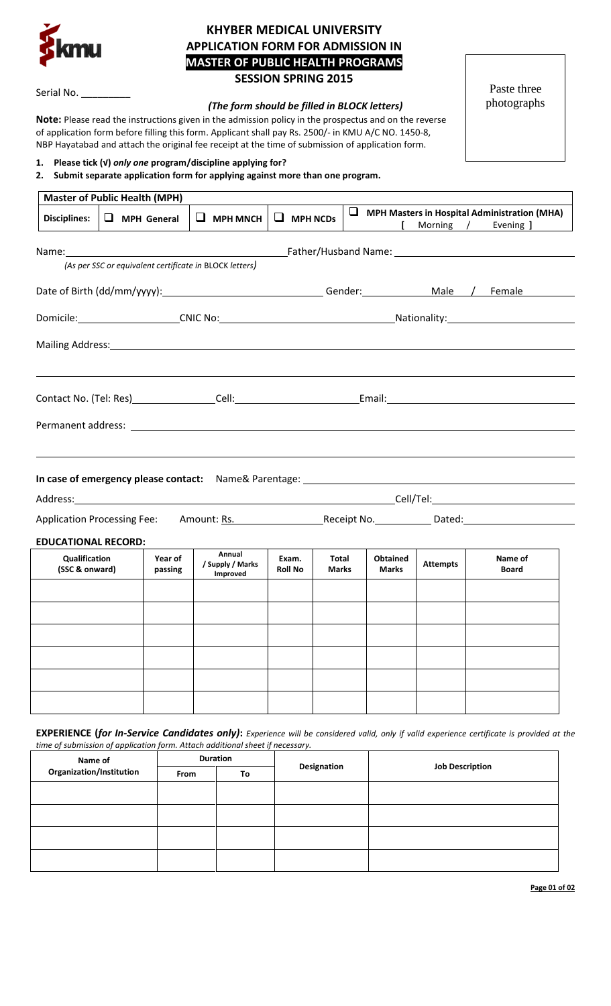

# **KHYBER MEDICAL UNIVERSITY APPLICATION FORM FOR ADMISSION IN MASTER OF PUBLIC HEALTH PROGRAMS SESSION SPRING 2015**

Serial No.

## *(The form should be filled in BLOCK letters)*

**Note:** Please read the instructions given in the admission policy in the prospectus and on the reverse of application form before filling this form. Applicant shall pay Rs. 2500/- in KMU A/C NO. 1450-8, NBP Hayatabad and attach the original fee receipt at the time of submission of application form.

Paste three photographs

# **1. Please tick (√)** *only one* **program/discipline applying for?**

# **2. Submit separate application form for applying against more than one program.**

| <b>Master of Public Health (MPH)</b>                                                                           |                    |                    |                                        |                         |                       |  |                                 |                 |  |                                                                  |  |
|----------------------------------------------------------------------------------------------------------------|--------------------|--------------------|----------------------------------------|-------------------------|-----------------------|--|---------------------------------|-----------------|--|------------------------------------------------------------------|--|
| <b>Disciplines:</b>                                                                                            | $\Box$ MPH General |                    | $\Box$ MPH MNCH                        | $\Box$ MPH NCDs         |                       |  |                                 | Morning /       |  | $\Box$ MPH Masters in Hospital Administration (MHA)<br>Evening ] |  |
| Name: Name and the second contract of the second contract of the second contract of the second contract of the |                    |                    |                                        |                         |                       |  |                                 |                 |  |                                                                  |  |
| (As per SSC or equivalent certificate in BLOCK letters)                                                        |                    |                    |                                        |                         |                       |  |                                 |                 |  |                                                                  |  |
| Date of Birth (dd/mm/yyyy): 11.12 \ Gender: Canader: Male / Female                                             |                    |                    |                                        |                         |                       |  |                                 |                 |  |                                                                  |  |
|                                                                                                                |                    |                    |                                        |                         |                       |  |                                 |                 |  |                                                                  |  |
|                                                                                                                |                    |                    |                                        |                         |                       |  |                                 |                 |  |                                                                  |  |
|                                                                                                                |                    |                    |                                        |                         |                       |  |                                 |                 |  |                                                                  |  |
|                                                                                                                |                    |                    |                                        |                         |                       |  |                                 |                 |  |                                                                  |  |
|                                                                                                                |                    |                    |                                        |                         |                       |  |                                 |                 |  |                                                                  |  |
|                                                                                                                |                    |                    |                                        |                         |                       |  |                                 |                 |  |                                                                  |  |
| <b>EDUCATIONAL RECORD:</b>                                                                                     |                    |                    |                                        |                         |                       |  |                                 |                 |  |                                                                  |  |
| <b>Qualification</b><br>(SSC & onward)                                                                         |                    | Year of<br>passing | Annual<br>/ Supply / Marks<br>Improved | Exam.<br><b>Roll No</b> | Total<br><b>Marks</b> |  | <b>Obtained</b><br><b>Marks</b> | <b>Attempts</b> |  | Name of<br><b>Board</b>                                          |  |
|                                                                                                                |                    |                    |                                        |                         |                       |  |                                 |                 |  |                                                                  |  |
|                                                                                                                |                    |                    |                                        |                         |                       |  |                                 |                 |  |                                                                  |  |
|                                                                                                                |                    |                    |                                        |                         |                       |  |                                 |                 |  |                                                                  |  |
|                                                                                                                |                    |                    |                                        |                         |                       |  |                                 |                 |  |                                                                  |  |
|                                                                                                                |                    |                    |                                        |                         |                       |  |                                 |                 |  |                                                                  |  |
|                                                                                                                |                    |                    |                                        |                         |                       |  |                                 |                 |  |                                                                  |  |

**EXPERIENCE (***for In-Service Candidates only)***:** *Experience will be considered valid, only if valid experience certificate is provided at the time of submission of application form. Attach additional sheet if necessary.*

| Name of                  |      | <b>Duration</b> |             | <b>Job Description</b> |  |  |
|--------------------------|------|-----------------|-------------|------------------------|--|--|
| Organization/Institution | From | To              | Designation |                        |  |  |
|                          |      |                 |             |                        |  |  |
|                          |      |                 |             |                        |  |  |
|                          |      |                 |             |                        |  |  |
|                          |      |                 |             |                        |  |  |

**Page 01 of 02**